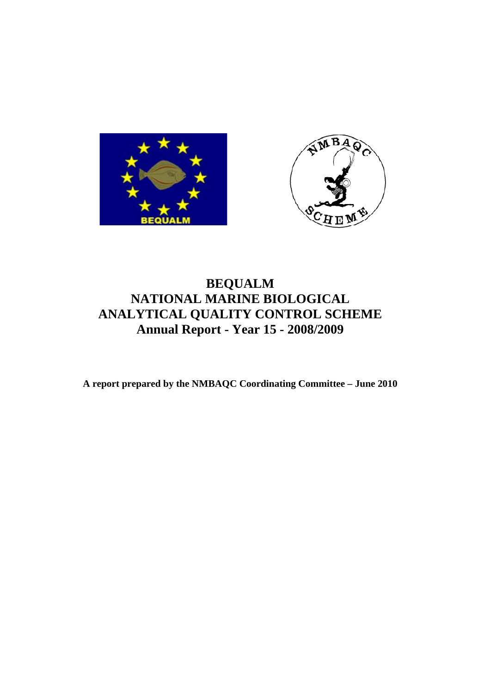



# **BEQUALM NATIONAL MARINE BIOLOGICAL ANALYTICAL QUALITY CONTROL SCHEME Annual Report - Year 15 - 2008/2009**

**A report prepared by the NMBAQC Coordinating Committee – June 2010**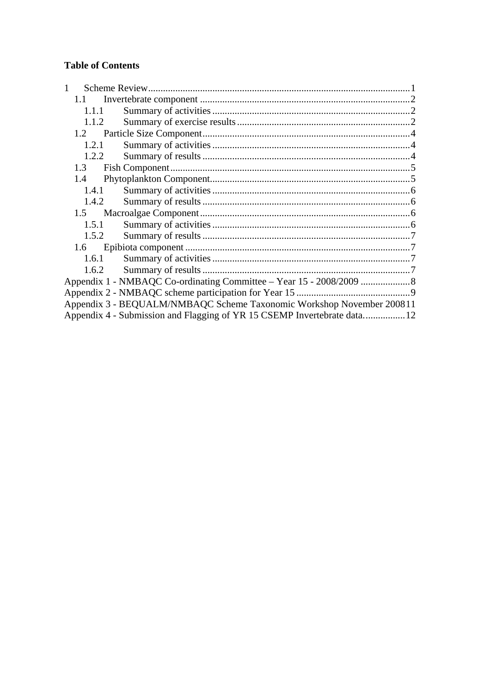# **Table of Contents**

| 1.1   |                                                                         |  |
|-------|-------------------------------------------------------------------------|--|
| 1.1.1 |                                                                         |  |
| 1.1.2 |                                                                         |  |
|       |                                                                         |  |
| 1.2.1 |                                                                         |  |
| 1.2.2 |                                                                         |  |
| 1.3   |                                                                         |  |
| 1.4   |                                                                         |  |
| 1.4.1 |                                                                         |  |
| 1.4.2 |                                                                         |  |
|       |                                                                         |  |
| 1.5.1 |                                                                         |  |
| 1.5.2 |                                                                         |  |
|       |                                                                         |  |
| 1.6.1 |                                                                         |  |
| 1.6.2 |                                                                         |  |
|       |                                                                         |  |
|       |                                                                         |  |
|       | Appendix 3 - BEQUALM/NMBAQC Scheme Taxonomic Workshop November 200811   |  |
|       | Appendix 4 - Submission and Flagging of YR 15 CSEMP Invertebrate data12 |  |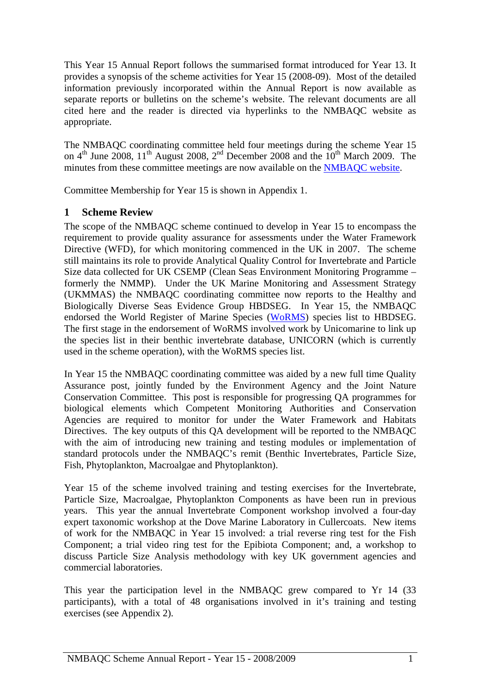<span id="page-2-0"></span>This Year 15 Annual Report follows the summarised format introduced for Year 13. It provides a synopsis of the scheme activities for Year 15 (2008-09). Most of the detailed information previously incorporated within the Annual Report is now available as separate reports or bulletins on the scheme's website. The relevant documents are all cited here and the reader is directed via hyperlinks to the NMBAQC website as appropriate.

The NMBAQC coordinating committee held four meetings during the scheme Year 15 on  $4<sup>th</sup>$  June 2008,  $11<sup>th</sup>$  August 2008,  $2<sup>nd</sup>$  December 2008 and the  $10<sup>th</sup>$  March 2009. The minutes from these committee meetings are now available on the NMBAOC website.

Committee Membership for Year 15 is shown in Appendix 1.

## **1 Scheme Review**

The scope of the NMBAQC scheme continued to develop in Year 15 to encompass the requirement to provide quality assurance for assessments under the Water Framework Directive (WFD), for which monitoring commenced in the UK in 2007. The scheme still maintains its role to provide Analytical Quality Control for Invertebrate and Particle Size data collected for UK CSEMP (Clean Seas Environment Monitoring Programme – formerly the NMMP). Under the UK Marine Monitoring and Assessment Strategy (UKMMAS) the NMBAQC coordinating committee now reports to the Healthy and Biologically Diverse Seas Evidence Group HBDSEG. In Year 15, the NMBAQC endorsed the World Register of Marine Species [\(WoRMS\)](http://www.marinespecies.org/) species list to HBDSEG. The first stage in the endorsement of WoRMS involved work by Unicomarine to link up the species list in their benthic invertebrate database, UNICORN (which is currently used in the scheme operation), with the WoRMS species list.

In Year 15 the NMBAQC coordinating committee was aided by a new full time Quality Assurance post, jointly funded by the Environment Agency and the Joint Nature Conservation Committee. This post is responsible for progressing QA programmes for biological elements which Competent Monitoring Authorities and Conservation Agencies are required to monitor for under the Water Framework and Habitats Directives. The key outputs of this QA development will be reported to the NMBAQC with the aim of introducing new training and testing modules or implementation of standard protocols under the NMBAQC's remit (Benthic Invertebrates, Particle Size, Fish, Phytoplankton, Macroalgae and Phytoplankton).

Year 15 of the scheme involved training and testing exercises for the Invertebrate, Particle Size, Macroalgae, Phytoplankton Components as have been run in previous years. This year the annual Invertebrate Component workshop involved a four-day expert taxonomic workshop at the Dove Marine Laboratory in Cullercoats. New items of work for the NMBAQC in Year 15 involved: a trial reverse ring test for the Fish Component; a trial video ring test for the Epibiota Component; and, a workshop to discuss Particle Size Analysis methodology with key UK government agencies and commercial laboratories.

This year the participation level in the NMBAQC grew compared to Yr 14 (33 participants), with a total of 48 organisations involved in it's training and testing exercises (see Appendix 2).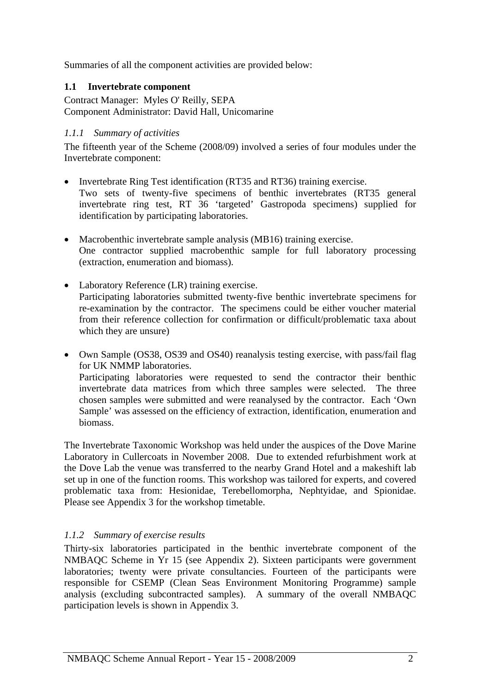<span id="page-3-0"></span>Summaries of all the component activities are provided below:

## **1.1 Invertebrate component**

Contract Manager: Myles O' Reilly, SEPA Component Administrator: David Hall, Unicomarine

## *1.1.1 Summary of activities*

The fifteenth year of the Scheme (2008/09) involved a series of four modules under the Invertebrate component:

- Invertebrate Ring Test identification (RT35 and RT36) training exercise. Two sets of twenty-five specimens of benthic invertebrates (RT35 general invertebrate ring test, RT 36 'targeted' Gastropoda specimens) supplied for identification by participating laboratories.
- Macrobenthic invertebrate sample analysis (MB16) training exercise. One contractor supplied macrobenthic sample for full laboratory processing (extraction, enumeration and biomass).
- Laboratory Reference (LR) training exercise. Participating laboratories submitted twenty-five benthic invertebrate specimens for re-examination by the contractor. The specimens could be either voucher material from their reference collection for confirmation or difficult/problematic taxa about which they are unsure)
- Own Sample (OS38, OS39 and OS40) reanalysis testing exercise, with pass/fail flag for UK NMMP laboratories. Participating laboratories were requested to send the contractor their benthic invertebrate data matrices from which three samples were selected. The three chosen samples were submitted and were reanalysed by the contractor. Each 'Own Sample' was assessed on the efficiency of extraction, identification, enumeration and biomass.

The Invertebrate Taxonomic Workshop was held under the auspices of the Dove Marine Laboratory in Cullercoats in November 2008. Due to extended refurbishment work at the Dove Lab the venue was transferred to the nearby Grand Hotel and a makeshift lab set up in one of the function rooms. This workshop was tailored for experts, and covered problematic taxa from: Hesionidae, Terebellomorpha, Nephtyidae, and Spionidae. Please see Appendix 3 for the workshop timetable.

## *1.1.2 Summary of exercise results*

Thirty-six laboratories participated in the benthic invertebrate component of the NMBAQC Scheme in Yr 15 (see Appendix 2). Sixteen participants were government laboratories; twenty were private consultancies. Fourteen of the participants were responsible for CSEMP (Clean Seas Environment Monitoring Programme) sample analysis (excluding subcontracted samples). A summary of the overall NMBAQC participation levels is shown in Appendix 3.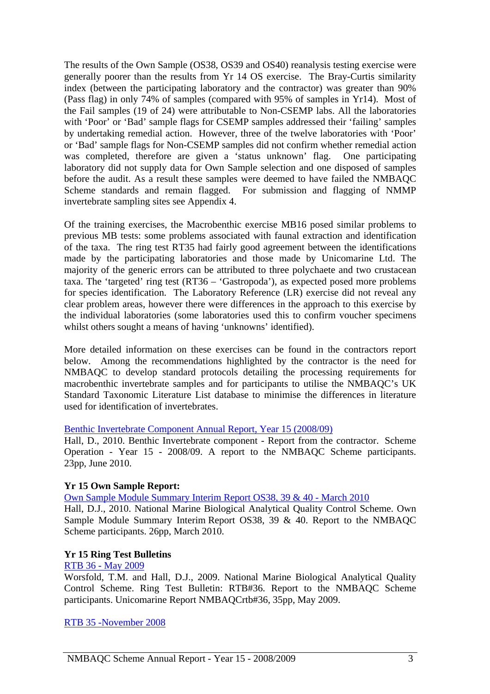The results of the Own Sample (OS38, OS39 and OS40) reanalysis testing exercise were generally poorer than the results from Yr 14 OS exercise. The Bray-Curtis similarity index (between the participating laboratory and the contractor) was greater than 90% (Pass flag) in only 74% of samples (compared with 95% of samples in Yr14). Most of the Fail samples (19 of 24) were attributable to Non-CSEMP labs. All the laboratories with 'Poor' or 'Bad' sample flags for CSEMP samples addressed their 'failing' samples by undertaking remedial action. However, three of the twelve laboratories with 'Poor' or 'Bad' sample flags for Non-CSEMP samples did not confirm whether remedial action was completed, therefore are given a 'status unknown' flag. One participating laboratory did not supply data for Own Sample selection and one disposed of samples before the audit. As a result these samples were deemed to have failed the NMBAQC Scheme standards and remain flagged. For submission and flagging of NMMP invertebrate sampling sites see Appendix 4.

Of the training exercises, the Macrobenthic exercise MB16 posed similar problems to previous MB tests: some problems associated with faunal extraction and identification of the taxa. The ring test RT35 had fairly good agreement between the identifications made by the participating laboratories and those made by Unicomarine Ltd. The majority of the generic errors can be attributed to three polychaete and two crustacean taxa. The 'targeted' ring test (RT36 – 'Gastropoda'), as expected posed more problems for species identification. The Laboratory Reference (LR) exercise did not reveal any clear problem areas, however there were differences in the approach to this exercise by the individual laboratories (some laboratories used this to confirm voucher specimens whilst others sought a means of having 'unknowns' identified).

More detailed information on these exercises can be found in the contractors report below. Among the recommendations highlighted by the contractor is the need for NMBAQC to develop standard protocols detailing the processing requirements for macrobenthic invertebrate samples and for participants to utilise the NMBAQC's UK Standard Taxonomic Literature List database to minimise the differences in literature used for identification of invertebrates.

#### [Benthic Invertebrate Component Annual Report, Year 15 \(2008/09\)](http://www.nmbaqcs.org/scheme-components/invertebrates/reports/yr-15-invert-annual-rpt.aspx)

Hall, D., 2010. Benthic Invertebrate component - Report from the contractor. Scheme Operation - Year 15 - 2008/09. A report to the NMBAQC Scheme participants. 23pp, June 2010.

#### **Yr 15 Own Sample Report:**

[Own Sample Module Summary Interim Report OS38, 39 & 40 - March 2010](http://www.nmbaqcs.org/scheme-components/invertebrates/reports/os38-40-summary-rpt.aspx)

Hall, D.J., 2010. National Marine Biological Analytical Quality Control Scheme. Own Sample Module Summary Interim Report OS38, 39 & 40. Report to the NMBAQC Scheme participants. 26pp, March 2010.

#### **Yr 15 Ring Test Bulletins**

#### [RTB 36 - May 2009](http://www.nmbaqcs.org/scheme-components/invertebrates/reports/rtb-36.aspx)

Worsfold, T.M. and Hall, D.J., 2009. National Marine Biological Analytical Quality Control Scheme. Ring Test Bulletin: RTB#36. Report to the NMBAQC Scheme participants. Unicomarine Report NMBAQCrtb#36, 35pp, May 2009.

[RTB 35 -November 2008](http://www.nmbaqcs.org/scheme-components/invertebrates/reports/rtb-35.aspx)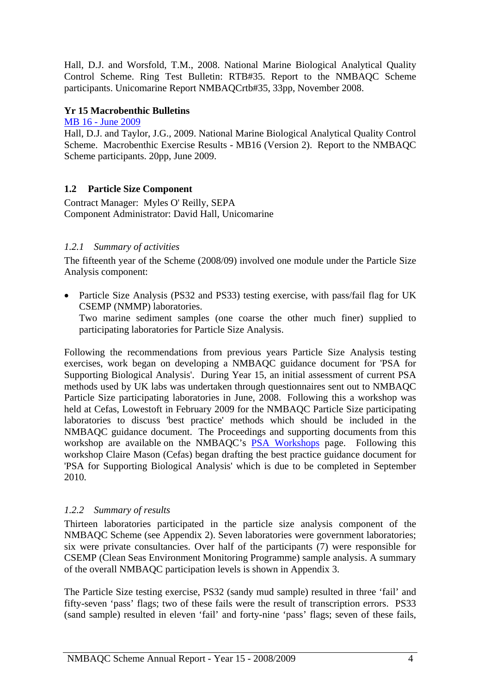<span id="page-5-0"></span>Hall, D.J. and Worsfold, T.M., 2008. National Marine Biological Analytical Quality Control Scheme. Ring Test Bulletin: RTB#35. Report to the NMBAQC Scheme participants. Unicomarine Report NMBAQCrtb#35, 33pp, November 2008.

## **Yr 15 Macrobenthic Bulletins**

[MB 16 - June 2009](http://www.nmbaqcs.org/scheme-components/invertebrates/reports/mb-16.aspx)

Hall, D.J. and Taylor, J.G., 2009. National Marine Biological Analytical Quality Control Scheme. Macrobenthic Exercise Results - MB16 (Version 2). Report to the NMBAQC Scheme participants. 20pp, June 2009.

## **1.2 Particle Size Component**

Contract Manager: Myles O' Reilly, SEPA Component Administrator: David Hall, Unicomarine

## *1.2.1 Summary of activities*

The fifteenth year of the Scheme (2008/09) involved one module under the Particle Size Analysis component:

• Particle Size Analysis (PS32 and PS33) testing exercise, with pass/fail flag for UK CSEMP (NMMP) laboratories.

Two marine sediment samples (one coarse the other much finer) supplied to participating laboratories for Particle Size Analysis.

Following the recommendations from previous years Particle Size Analysis testing exercises, work began on developing a NMBAQC guidance document for 'PSA for Supporting Biological Analysis'. During Year 15, an initial assessment of current PSA methods used by UK labs was undertaken through questionnaires sent out to NMBAQC Particle Size participating laboratories in June, 2008. Following this a workshop was held at Cefas, Lowestoft in February 2009 for the NMBAQC Particle Size participating laboratories to discuss 'best practice' methods which should be included in the NMBAQC guidance document. The Proceedings and supporting documents from this workshop are available on the NMBAQC's [PSA Workshops](http://www.nmbaqcs.org/scheme-components/particle-size-analysis/workshops.aspx) page. Following this workshop Claire Mason (Cefas) began drafting the best practice guidance document for 'PSA for Supporting Biological Analysis' which is due to be completed in September 2010.

## *1.2.2 Summary of results*

Thirteen laboratories participated in the particle size analysis component of the NMBAQC Scheme (see Appendix 2). Seven laboratories were government laboratories; six were private consultancies. Over half of the participants (7) were responsible for CSEMP (Clean Seas Environment Monitoring Programme) sample analysis. A summary of the overall NMBAQC participation levels is shown in Appendix 3.

The Particle Size testing exercise, PS32 (sandy mud sample) resulted in three 'fail' and fifty-seven 'pass' flags; two of these fails were the result of transcription errors. PS33 (sand sample) resulted in eleven 'fail' and forty-nine 'pass' flags; seven of these fails,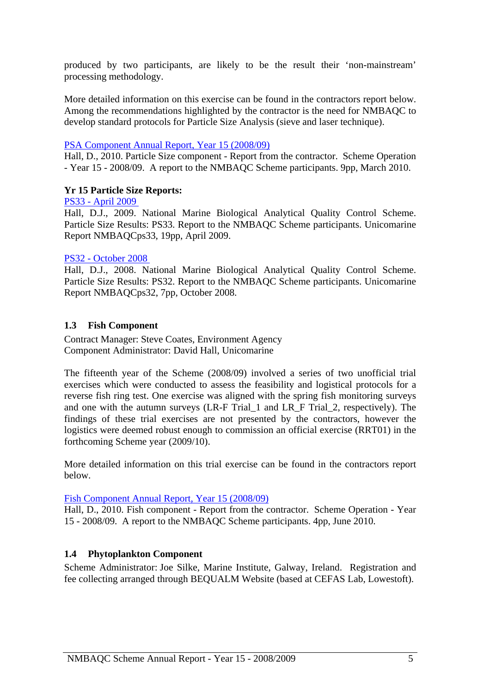<span id="page-6-0"></span>produced by two participants, are likely to be the result their 'non-mainstream' processing methodology.

More detailed information on this exercise can be found in the contractors report below. Among the recommendations highlighted by the contractor is the need for NMBAQC to develop standard protocols for Particle Size Analysis (sieve and laser technique).

#### [PSA Component Annual Report, Year 15 \(2008/09\)](http://www.nmbaqcs.org/scheme-components/particle-size-analysis/reports/yr-15-psa-annual-rpt.aspx)

Hall, D., 2010. Particle Size component - Report from the contractor. Scheme Operation - Year 15 - 2008/09. A report to the NMBAQC Scheme participants. 9pp, March 2010.

#### **Yr 15 Particle Size Reports:**

[PS33 - April 2009](http://www.nmbaqcs.org/scheme-components/particle-size-analysis/reports/ps33.aspx)

Hall, D.J., 2009. National Marine Biological Analytical Quality Control Scheme. Particle Size Results: PS33. Report to the NMBAQC Scheme participants. Unicomarine Report NMBAQCps33, 19pp, April 2009.

#### [PS32 - October 2008](http://www.nmbaqcs.org/scheme-components/particle-size-analysis/reports/ps32.aspx)

Hall, D.J., 2008. National Marine Biological Analytical Quality Control Scheme. Particle Size Results: PS32. Report to the NMBAQC Scheme participants. Unicomarine Report NMBAQCps32, 7pp, October 2008.

#### **1.3 Fish Component**

Contract Manager: Steve Coates, Environment Agency Component Administrator: David Hall, Unicomarine

The fifteenth year of the Scheme (2008/09) involved a series of two unofficial trial exercises which were conducted to assess the feasibility and logistical protocols for a reverse fish ring test. One exercise was aligned with the spring fish monitoring surveys and one with the autumn surveys (LR-F Trial\_1 and LR\_F Trial\_2, respectively). The findings of these trial exercises are not presented by the contractors, however the logistics were deemed robust enough to commission an official exercise (RRT01) in the forthcoming Scheme year (2009/10).

More detailed information on this trial exercise can be found in the contractors report below.

[Fish Component Annual Report, Year 15 \(2008/09\)](http://www.nmbaqcs.org/scheme-components/fish/reports/yr-15-fish-annual-rpt.aspx)

Hall, D., 2010. Fish component - Report from the contractor. Scheme Operation - Year 15 - 2008/09. A report to the NMBAQC Scheme participants. 4pp, June 2010.

#### **1.4 Phytoplankton Component**

Scheme Administrator: Joe Silke, Marine Institute, Galway, Ireland. Registration and fee collecting arranged through BEQUALM Website (based at CEFAS Lab, Lowestoft).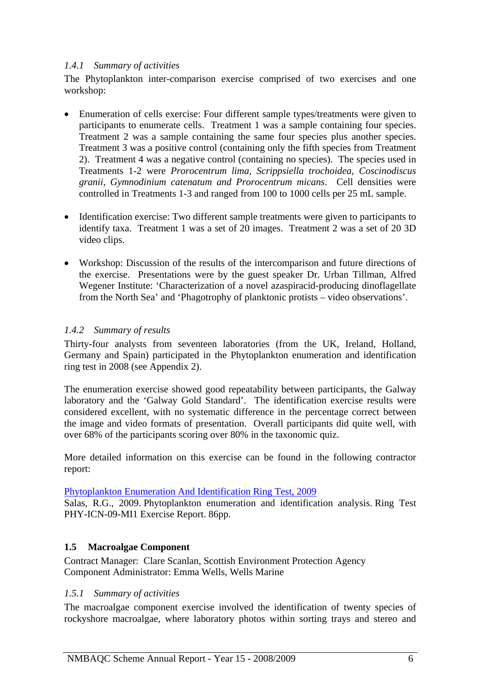#### <span id="page-7-0"></span>*1.4.1 Summary of activities*

The Phytoplankton inter-comparison exercise comprised of two exercises and one workshop:

- Enumeration of cells exercise: Four different sample types/treatments were given to participants to enumerate cells. Treatment 1 was a sample containing four species. Treatment 2 was a sample containing the same four species plus another species. Treatment 3 was a positive control (containing only the fifth species from Treatment 2). Treatment 4 was a negative control (containing no species). The species used in Treatments 1-2 were *Prorocentrum lima, Scrippsiella trochoidea, Coscinodiscus granii, Gymnodinium catenatum and Prorocentrum micans*. Cell densities were controlled in Treatments 1-3 and ranged from 100 to 1000 cells per 25 mL sample.
- Identification exercise: Two different sample treatments were given to participants to identify taxa. Treatment 1 was a set of 20 images. Treatment 2 was a set of 20 3D video clips.
- Workshop: Discussion of the results of the intercomparison and future directions of the exercise. Presentations were by the guest speaker Dr. Urban Tillman, Alfred Wegener Institute: 'Characterization of a novel azaspiracid-producing dinoflagellate from the North Sea' and 'Phagotrophy of planktonic protists – video observations'.

## *1.4.2 Summary of results*

Thirty-four analysts from seventeen laboratories (from the UK, Ireland, Holland, Germany and Spain) participated in the Phytoplankton enumeration and identification ring test in 2008 (see Appendix 2).

The enumeration exercise showed good repeatability between participants, the Galway laboratory and the 'Galway Gold Standard'. The identification exercise results were considered excellent, with no systematic difference in the percentage correct between the image and video formats of presentation. Overall participants did quite well, with over 68% of the participants scoring over 80% in the taxonomic quiz.

More detailed information on this exercise can be found in the following contractor report:

#### [Phytoplankton Enumeration And Identification Ring Test, 2009](http://www.nmbaqcs.org/scheme-components/phytoplankton/phyto-rpt-2009.aspx)

Salas, R.G., 2009. Phytoplankton enumeration and identification analysis. Ring Test PHY-ICN-09-MI1 Exercise Report. 86pp.

#### **1.5 Macroalgae Component**

Contract Manager: Clare Scanlan, Scottish Environment Protection Agency Component Administrator: Emma Wells, Wells Marine

#### *1.5.1 Summary of activities*

The macroalgae component exercise involved the identification of twenty species of rockyshore macroalgae, where laboratory photos within sorting trays and stereo and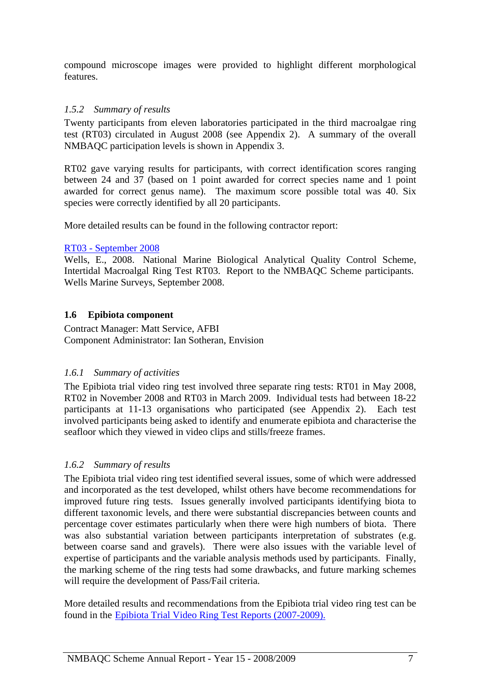<span id="page-8-0"></span>compound microscope images were provided to highlight different morphological features.

## *1.5.2 Summary of results*

Twenty participants from eleven laboratories participated in the third macroalgae ring test (RT03) circulated in August 2008 (see Appendix 2). A summary of the overall NMBAQC participation levels is shown in Appendix 3.

RT02 gave varying results for participants, with correct identification scores ranging between 24 and 37 (based on 1 point awarded for correct species name and 1 point awarded for correct genus name). The maximum score possible total was 40. Six species were correctly identified by all 20 participants.

More detailed results can be found in the following contractor report:

#### [RT03 - September 2008](http://www.nmbaqcs.org/downloads/macroalgae/RT03%20algal%20ring%20test%20results.pdf)

Wells, E., 2008. National Marine Biological Analytical Quality Control Scheme, Intertidal Macroalgal Ring Test RT03. Report to the NMBAQC Scheme participants. Wells Marine Surveys, September 2008.

## **1.6 Epibiota component**

Contract Manager: Matt Service, AFBI Component Administrator: Ian Sotheran, Envision

#### *1.6.1 Summary of activities*

The Epibiota trial video ring test involved three separate ring tests: RT01 in May 2008, RT02 in November 2008 and RT03 in March 2009. Individual tests had between 18-22 participants at 11-13 organisations who participated (see Appendix 2). Each test involved participants being asked to identify and enumerate epibiota and characterise the seafloor which they viewed in video clips and stills/freeze frames.

#### *1.6.2 Summary of results*

The Epibiota trial video ring test identified several issues, some of which were addressed and incorporated as the test developed, whilst others have become recommendations for improved future ring tests. Issues generally involved participants identifying biota to different taxonomic levels, and there were substantial discrepancies between counts and percentage cover estimates particularly when there were high numbers of biota. There was also substantial variation between participants interpretation of substrates (e.g. between coarse sand and gravels). There were also issues with the variable level of expertise of participants and the variable analysis methods used by participants. Finally, the marking scheme of the ring tests had some drawbacks, and future marking schemes will require the development of Pass/Fail criteria.

More detailed results and recommendations from the Epibiota trial video ring test can be found in the [Epibiota Trial Video Ring Test Reports \(2007-2009\)](http://www.nmbaqcs.org/scheme-components/epibiota/reports.aspx).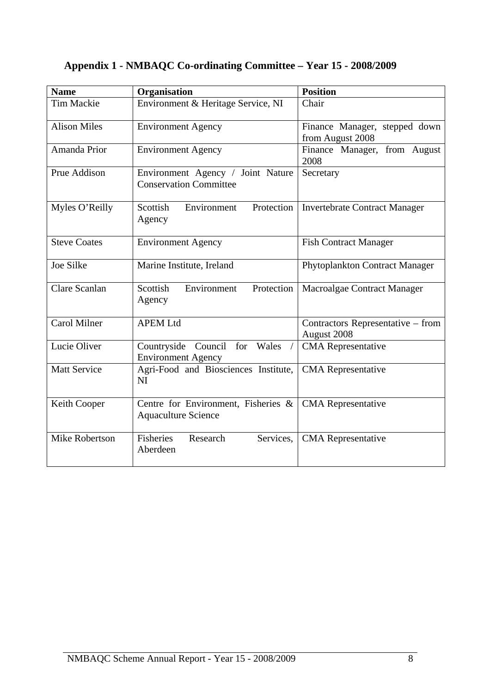# <span id="page-9-0"></span>**Appendix 1 - NMBAQC Co-ordinating Committee – Year 15 - 2008/2009**

| <b>Name</b>         | Organisation                                                       | <b>Position</b>                                   |
|---------------------|--------------------------------------------------------------------|---------------------------------------------------|
| <b>Tim Mackie</b>   | Environment & Heritage Service, NI                                 | Chair                                             |
| <b>Alison Miles</b> | <b>Environment Agency</b>                                          | Finance Manager, stepped down<br>from August 2008 |
| Amanda Prior        | <b>Environment Agency</b>                                          | Finance Manager, from August<br>2008              |
| Prue Addison        | Environment Agency / Joint Nature<br><b>Conservation Committee</b> | Secretary                                         |
| Myles O'Reilly      | Scottish<br>Protection<br>Environment<br>Agency                    | <b>Invertebrate Contract Manager</b>              |
| <b>Steve Coates</b> | <b>Environment Agency</b>                                          | <b>Fish Contract Manager</b>                      |
| <b>Joe Silke</b>    | Marine Institute, Ireland                                          | Phytoplankton Contract Manager                    |
| Clare Scanlan       | Scottish<br>Environment<br>Protection<br>Agency                    | Macroalgae Contract Manager                       |
| <b>Carol Milner</b> | <b>APEM Ltd</b>                                                    | Contractors Representative – from<br>August 2008  |
| Lucie Oliver        | Countryside Council<br>for Wales<br><b>Environment Agency</b>      | <b>CMA</b> Representative                         |
| <b>Matt Service</b> | Agri-Food and Biosciences Institute,<br>NI                         | <b>CMA</b> Representative                         |
| Keith Cooper        | Centre for Environment, Fisheries &<br><b>Aquaculture Science</b>  | <b>CMA</b> Representative                         |
| Mike Robertson      | Fisheries<br>Research<br>Services,<br>Aberdeen                     | <b>CMA</b> Representative                         |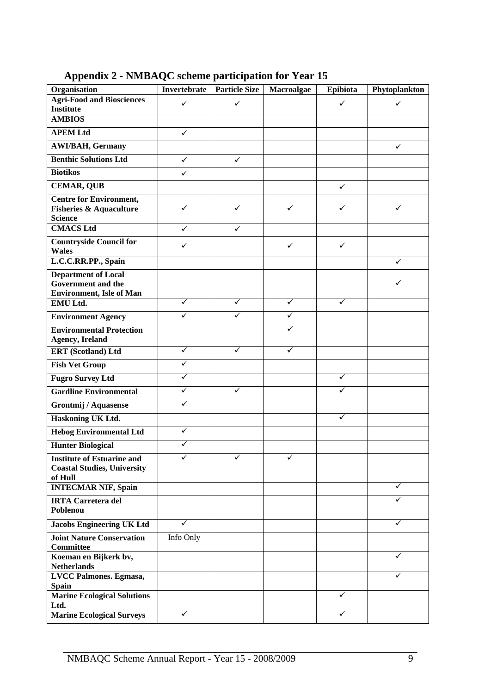<span id="page-10-0"></span>

| Organisation                                                                                | <b>Invertebrate</b>     | <b>Particle Size</b> | Macroalgae | Epibiota     | Phytoplankton |
|---------------------------------------------------------------------------------------------|-------------------------|----------------------|------------|--------------|---------------|
| <b>Agri-Food and Biosciences</b>                                                            | ✓                       | $\checkmark$         |            | $\checkmark$ | ✓             |
| <b>Institute</b>                                                                            |                         |                      |            |              |               |
| <b>AMBIOS</b>                                                                               |                         |                      |            |              |               |
| <b>APEM Ltd</b>                                                                             | $\checkmark$            |                      |            |              |               |
| <b>AWI/BAH, Germany</b>                                                                     |                         |                      |            |              | $\checkmark$  |
| <b>Benthic Solutions Ltd</b>                                                                | $\checkmark$            | $\checkmark$         |            |              |               |
| <b>Biotikos</b>                                                                             | ✓                       |                      |            |              |               |
| <b>CEMAR, QUB</b>                                                                           |                         |                      |            | $\checkmark$ |               |
| <b>Centre for Environment,</b><br><b>Fisheries &amp; Aquaculture</b><br><b>Science</b>      | ✓                       | ✓                    | ✓          | ✓            | ✓             |
| <b>CMACS Ltd</b>                                                                            | ✓                       | ✓                    |            |              |               |
| <b>Countryside Council for</b><br><b>Wales</b>                                              | ✓                       |                      | ✓          | ✓            |               |
| L.C.C.RR.PP., Spain                                                                         |                         |                      |            |              | $\checkmark$  |
| <b>Department of Local</b><br><b>Government</b> and the<br><b>Environment</b> , Isle of Man |                         |                      |            |              | ✓             |
| EMU Ltd.                                                                                    | ✓                       | ✓                    | ✓          | ✓            |               |
| <b>Environment Agency</b>                                                                   | $\overline{\checkmark}$ | ✓                    | ✓          |              |               |
| <b>Environmental Protection</b><br><b>Agency, Ireland</b>                                   |                         |                      |            |              |               |
| <b>ERT</b> (Scotland) Ltd                                                                   | $\checkmark$            | ✓                    | ✓          |              |               |
| <b>Fish Vet Group</b>                                                                       | ✓                       |                      |            |              |               |
| <b>Fugro Survey Ltd</b>                                                                     | $\overline{\checkmark}$ |                      |            | ✓            |               |
| <b>Gardline Environmental</b>                                                               | ✓                       | ✓                    |            | ✓            |               |
| <b>Grontmij / Aquasense</b>                                                                 | ✓                       |                      |            |              |               |
| Haskoning UK Ltd.                                                                           |                         |                      |            | ✓            |               |
| <b>Hebog Environmental Ltd</b>                                                              | ✓                       |                      |            |              |               |
| <b>Hunter Biological</b>                                                                    | $\checkmark$            |                      |            |              |               |
| <b>Institute of Estuarine and</b><br><b>Coastal Studies, University</b><br>of Hull          |                         |                      |            |              |               |
| <b>INTECMAR NIF, Spain</b>                                                                  |                         |                      |            |              | ✓             |
| <b>IRTA Carretera del</b><br>Poblenou                                                       |                         |                      |            |              |               |
| <b>Jacobs Engineering UK Ltd</b>                                                            | ✓                       |                      |            |              | ✓             |
| <b>Joint Nature Conservation</b><br><b>Committee</b>                                        | Info Only               |                      |            |              |               |
| Koeman en Bijkerk bv,<br><b>Netherlands</b>                                                 |                         |                      |            |              |               |
| LVCC Palmones. Egmasa,<br><b>Spain</b>                                                      |                         |                      |            |              |               |
| <b>Marine Ecological Solutions</b><br>Ltd.                                                  |                         |                      |            | ✓            |               |
| <b>Marine Ecological Surveys</b>                                                            | ✓                       |                      |            | ✓            |               |

**Appendix 2 - NMBAQC scheme participation for Year 15**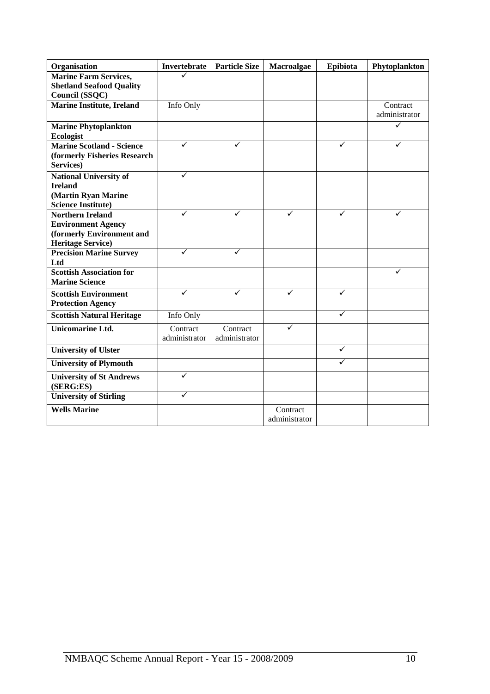| Organisation                                       | Invertebrate  | <b>Particle Size</b> | Macroalgae    | Epibiota | Phytoplankton |
|----------------------------------------------------|---------------|----------------------|---------------|----------|---------------|
| <b>Marine Farm Services,</b>                       |               |                      |               |          |               |
| <b>Shetland Seafood Quality</b>                    |               |                      |               |          |               |
| Council (SSQC)<br><b>Marine Institute, Ireland</b> | Info Only     |                      |               |          | Contract      |
|                                                    |               |                      |               |          | administrator |
| <b>Marine Phytoplankton</b>                        |               |                      |               |          | ✓             |
| <b>Ecologist</b>                                   |               |                      |               |          |               |
| <b>Marine Scotland - Science</b>                   |               | ✓                    |               |          |               |
| (formerly Fisheries Research                       |               |                      |               |          |               |
| Services)                                          |               |                      |               |          |               |
| <b>National University of</b>                      | ✓             |                      |               |          |               |
| <b>Ireland</b>                                     |               |                      |               |          |               |
| (Martin Ryan Marine                                |               |                      |               |          |               |
| <b>Science Institute)</b>                          | ✓             | ✓                    |               |          |               |
| <b>Northern Ireland</b>                            |               |                      | ✓             | ✓        |               |
| <b>Environment Agency</b>                          |               |                      |               |          |               |
| (formerly Environment and                          |               |                      |               |          |               |
| <b>Heritage Service)</b>                           | ✓             | ✓                    |               |          |               |
| <b>Precision Marine Survey</b>                     |               |                      |               |          |               |
| Ltd<br><b>Scottish Association for</b>             |               |                      |               |          |               |
| <b>Marine Science</b>                              |               |                      |               |          |               |
| <b>Scottish Environment</b>                        | ✓             | ✓                    | ✓             | ✓        |               |
| <b>Protection Agency</b>                           |               |                      |               |          |               |
|                                                    |               |                      |               | ✓        |               |
| <b>Scottish Natural Heritage</b>                   | Info Only     |                      |               |          |               |
| <b>Unicomarine Ltd.</b>                            | Contract      | Contract             | ✓             |          |               |
|                                                    | administrator | administrator        |               |          |               |
| <b>University of Ulster</b>                        |               |                      |               | ✓        |               |
| <b>University of Plymouth</b>                      |               |                      |               | ✓        |               |
| <b>University of St Andrews</b><br>(SERG:ES)       | ✓             |                      |               |          |               |
| <b>University of Stirling</b>                      | ✓             |                      |               |          |               |
| <b>Wells Marine</b>                                |               |                      | Contract      |          |               |
|                                                    |               |                      | administrator |          |               |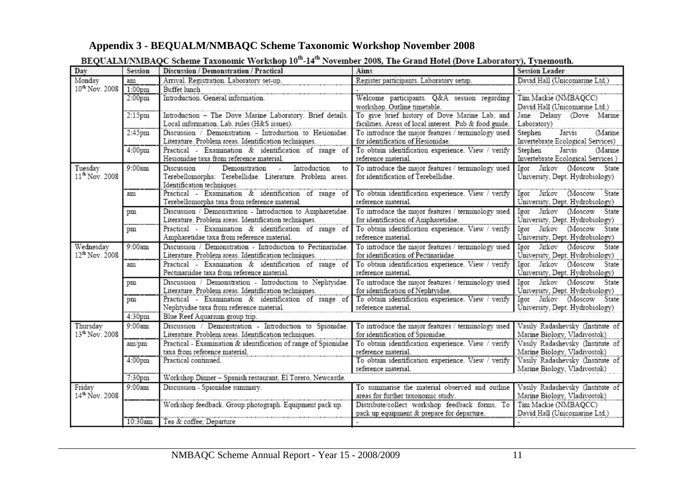# **Appendix 3 - BEQUALM/NMBAQC Scheme Taxonomic Workshop November 2008**

<span id="page-12-0"></span>

| Day                                    | Session            | DEQUALIMITMDAQU SUICIIIC TAAVIIQIIIU WOLKSHOP TO "14" TOVCHIOCI 2000, THE OFAIR HOICI (DOVE LADOFAIOI Y), TYHEIRORH.<br>Discussion / Demonstration / Practical | Aims                                                                                   | <b>Session Leader</b>                                            |
|----------------------------------------|--------------------|----------------------------------------------------------------------------------------------------------------------------------------------------------------|----------------------------------------------------------------------------------------|------------------------------------------------------------------|
| Monday                                 | am                 | Arrival. Registration. Laboratory set-up.                                                                                                                      | Register participants. Laboratory setup.                                               | David Hall (Unicomarine Ltd.)                                    |
| 10 <sup>th</sup> Nov. 2008             | 1:00 <sub>pm</sub> | Buffet lunch                                                                                                                                                   |                                                                                        |                                                                  |
|                                        | 2:00 <sub>pm</sub> | Introduction. General information.                                                                                                                             | Welcome participants. Q&A session regarding                                            | Tim Mackie (NMBAQCC)                                             |
|                                        |                    |                                                                                                                                                                | workshop. Outline timetable.                                                           | David Hall (Unicomarine Ltd.)                                    |
|                                        | $2:15$ pm          | Introduction - The Dove Marine Laboratory. Brief details.                                                                                                      | To give brief history of Dove Marine Lab. and                                          | Jane Delany (Dove Marine                                         |
|                                        |                    | Local information. Lab. rules (H&S issues).                                                                                                                    | facilities. Areas of local interest. Pub & food guide.                                 | Laboratory)                                                      |
|                                        | 2:45pm             | Discussion / Demonstration - Introduction to Hesionidae.                                                                                                       | To introduce the major features / terminology used                                     | Stephen<br>Jarvis<br>(Marine                                     |
|                                        |                    | Literature. Problem areas. Identification techniques.                                                                                                          | for identification of Hesionidae.                                                      | Invertebrate Ecological Services)                                |
|                                        | 4:00 <sub>pm</sub> | Practical - Examination & identification of range of                                                                                                           | To obtain identification experience. View / verify                                     | Stephen<br>Jarvis<br>(Marine                                     |
|                                        |                    | Hesionidae taxa from reference material.                                                                                                                       | reference material.                                                                    | Invertebrate Ecological Services)                                |
| Tuesday                                | 9:00am             | Discussion /<br>Demonstration - Introduction<br>to                                                                                                             | To introduce the major features / terminology used                                     | Igor Jirkov (Moscow State                                        |
| 11 <sup>th</sup> Nov. 2008             |                    | Terebellomorpha: Terebellidae. Literature. Problem areas.                                                                                                      | for identification of Terebellidae.                                                    | University, Dept. Hydrobiology)                                  |
|                                        |                    | Identification techniques.                                                                                                                                     |                                                                                        |                                                                  |
|                                        | am                 | Practical - Examination & identification of range of                                                                                                           | To obtain identification experience. View / verify                                     | Igor Jirkov (Moscow State                                        |
|                                        |                    | Terebellomorpha taxa from reference material.                                                                                                                  | reference material.                                                                    | University, Dept. Hydrobiology)                                  |
|                                        | pm                 | Discussion / Demonstration - Introduction to Ampharetidae.                                                                                                     | To introduce the major features / terminology used                                     | Igor Jirkov (Moscow State                                        |
|                                        |                    | Literature. Problem areas. Identification techniques.                                                                                                          | for identification of Ampharetidae.                                                    | University, Dept. Hydrobiology)                                  |
|                                        | pm                 | Practical - Examination & identification of range of                                                                                                           | To obtain identification experience. View / verify                                     | Igor Jirkov (Moscow State                                        |
|                                        |                    | Ampharetidae taxa from reference material.                                                                                                                     | reference material.                                                                    | University, Dept. Hydrobiology)                                  |
| Wednesday                              | 9:00am             | Discussion / Demonstration - Introduction to Pectinariidae.                                                                                                    | To introduce the major features / terminology used                                     | Igor Jirkov (Moscow State                                        |
| 12 <sup>th</sup> Nov. 2008             |                    | Literature. Problem areas. Identification techniques.                                                                                                          | for identification of Pectinariidae.                                                   | University, Dept. Hydrobiology)                                  |
|                                        | am                 | Practical - Examination & identification of range of                                                                                                           | To obtain identification experience. View / verify                                     | Igor Jirkov (Moscow State                                        |
|                                        |                    | Pectinariidae taxa from reference material.                                                                                                                    | reference material.                                                                    | University, Dept. Hydrobiology)                                  |
|                                        | pm                 | Discussion / Demonstration - Introduction to Nephtyidae.                                                                                                       | To introduce the major features / terminology used                                     | Igor Jirkov (Moscow State                                        |
|                                        |                    | Literature. Problem areas. Identification techniques.                                                                                                          | for identification of Nephtyidae.                                                      | University, Dept. Hydrobiology)                                  |
|                                        | pm                 | Practical - Examination & identification of range of To obtain identification experience. View / verify<br>Nephtyidae taxa from reference material.            | reference material.                                                                    | Igor Jirkov (Moscow State<br>University, Dept. Hydrobiology)     |
|                                        | 4:30 <sub>pm</sub> | Blue Reef Aquarium group trip.                                                                                                                                 |                                                                                        |                                                                  |
|                                        | 9:00am             |                                                                                                                                                                |                                                                                        |                                                                  |
| Thursdav<br>13 <sup>th</sup> Nov. 2008 |                    | Discussion / Demonstration - Introduction to Spionidae.<br>Literature. Problem areas. Identification techniques.                                               | To introduce the major features / terminology used<br>for identification of Spionidae. | Vasily Radashevsky (Institute of<br>Marine Biology, Vladivostok) |
|                                        |                    | Practical - Examination & identification of range of Spionidae                                                                                                 | To obtain identification experience. View / verify                                     | Vasily Radashevsky (Institute of                                 |
|                                        | am/pm              | taxa from reference material.                                                                                                                                  | reference material.                                                                    | Marine Biology, Vladivostok)                                     |
|                                        | 4:00 <sub>pm</sub> | Practical continued.                                                                                                                                           | To obtain identification experience. View / verify                                     | Vasily Radashevsky (Institute of                                 |
|                                        |                    |                                                                                                                                                                | reference material.                                                                    | Marine Biology, Vladivostok)                                     |
|                                        | 7:30pm             | Workshop Dinner - Spanish restaurant, El Torero, Newcastle.                                                                                                    |                                                                                        |                                                                  |
| Friday                                 | 9:00am             | Discussion - Spionidae summary.                                                                                                                                | To summarise the material observed and outline                                         | Vasily Radashevsky (Institute of                                 |
| 14 <sup>th</sup> Nov. 2008             |                    |                                                                                                                                                                | areas for further taxonomic study.                                                     | Marine Biology, Vladivostok)                                     |
|                                        |                    | Workshop feedback. Group photograph. Equipment pack up.                                                                                                        | Distribute/collect workshop feedback forms. To                                         | Tim Mackie (NMBAQCC)                                             |
|                                        |                    |                                                                                                                                                                | pack up equipment & prepare for departure.                                             | David Hall (Unicomarine Ltd.)                                    |
|                                        | 10:30am            | Tea & coffee; Departure                                                                                                                                        |                                                                                        |                                                                  |

# $R$ FOUALMANRAOC Schama Taxonomic Workshop  $10^{th}$ - $14^{th}$  Novamber 2008. The Crand Hotel (Dove Laboratory). Tynemouth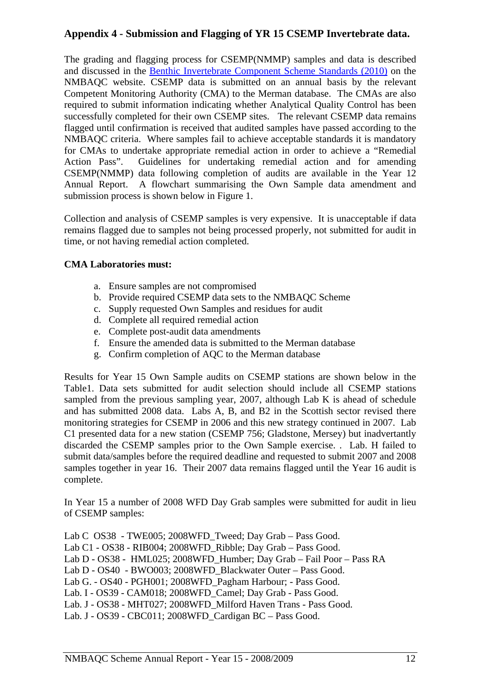# <span id="page-13-0"></span>**Appendix 4 - Submission and Flagging of YR 15 CSEMP Invertebrate data.**

The grading and flagging process for CSEMP(NMMP) samples and data is described and discussed in the [Benthic Invertebrate Component Scheme Standards \(2010\)](http://www.nmbaqcs.org/scheme-components/invertebrates/reports/benthic-invertebrate-component-scheme-standards.aspx) on the NMBAQC website. CSEMP data is submitted on an annual basis by the relevant Competent Monitoring Authority (CMA) to the Merman database. The CMAs are also required to submit information indicating whether Analytical Quality Control has been successfully completed for their own CSEMP sites. The relevant CSEMP data remains flagged until confirmation is received that audited samples have passed according to the NMBAQC criteria. Where samples fail to achieve acceptable standards it is mandatory for CMAs to undertake appropriate remedial action in order to achieve a "Remedial Action Pass". Guidelines for undertaking remedial action and for amending CSEMP(NMMP) data following completion of audits are available in the Year 12 Annual Report. A flowchart summarising the Own Sample data amendment and submission process is shown below in Figure 1.

Collection and analysis of CSEMP samples is very expensive. It is unacceptable if data remains flagged due to samples not being processed properly, not submitted for audit in time, or not having remedial action completed.

#### **CMA Laboratories must:**

- a. Ensure samples are not compromised
- b. Provide required CSEMP data sets to the NMBAQC Scheme
- c. Supply requested Own Samples and residues for audit
- d. Complete all required remedial action
- e. Complete post-audit data amendments
- f. Ensure the amended data is submitted to the Merman database
- g. Confirm completion of AQC to the Merman database

Results for Year 15 Own Sample audits on CSEMP stations are shown below in the Table1. Data sets submitted for audit selection should include all CSEMP stations sampled from the previous sampling year, 2007, although Lab K is ahead of schedule and has submitted 2008 data. Labs A, B, and B2 in the Scottish sector revised there monitoring strategies for CSEMP in 2006 and this new strategy continued in 2007. Lab C1 presented data for a new station (CSEMP 756; Gladstone, Mersey) but inadvertantly discarded the CSEMP samples prior to the Own Sample exercise. . Lab. H failed to submit data/samples before the required deadline and requested to submit 2007 and 2008 samples together in year 16. Their 2007 data remains flagged until the Year 16 audit is complete.

In Year 15 a number of 2008 WFD Day Grab samples were submitted for audit in lieu of CSEMP samples:

Lab C OS38 - TWE005; 2008WFD\_Tweed; Day Grab – Pass Good. Lab C1 - OS38 - RIB004; 2008WFD\_Ribble; Day Grab – Pass Good. Lab D - OS38 - HML025; 2008WFD\_Humber; Day Grab – Fail Poor – Pass RA Lab D - OS40 - BWO003; 2008WFD\_Blackwater Outer – Pass Good. Lab G. - OS40 - PGH001; 2008WFD\_Pagham Harbour; - Pass Good. Lab. I - OS39 - CAM018; 2008WFD\_Camel; Day Grab - Pass Good. Lab. J - OS38 - MHT027; 2008WFD\_Milford Haven Trans - Pass Good. Lab. J - OS39 - CBC011; 2008WFD\_Cardigan BC – Pass Good.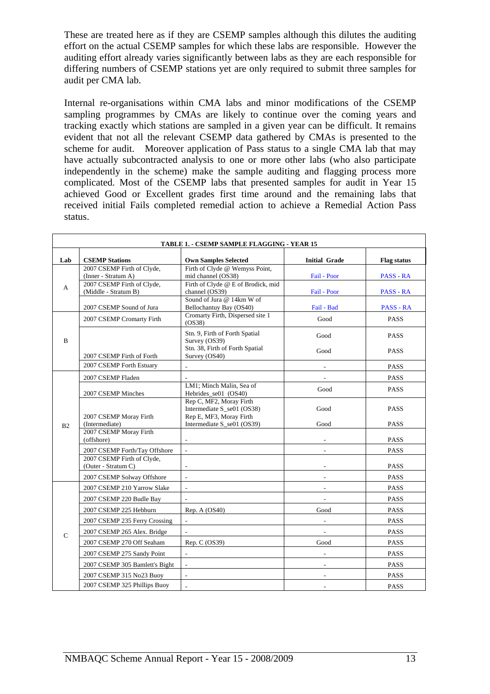These are treated here as if they are CSEMP samples although this dilutes the auditing effort on the actual CSEMP samples for which these labs are responsible. However the auditing effort already varies significantly between labs as they are each responsible for differing numbers of CSEMP stations yet are only required to submit three samples for audit per CMA lab.

Internal re-organisations within CMA labs and minor modifications of the CSEMP sampling programmes by CMAs are likely to continue over the coming years and tracking exactly which stations are sampled in a given year can be difficult. It remains evident that not all the relevant CSEMP data gathered by CMAs is presented to the scheme for audit. Moreover application of Pass status to a single CMA lab that may have actually subcontracted analysis to one or more other labs (who also participate independently in the scheme) make the sample auditing and flagging process more complicated. Most of the CSEMP labs that presented samples for audit in Year 15 achieved Good or Excellent grades first time around and the remaining labs that received initial Fails completed remedial action to achieve a Remedial Action Pass status.

| TABLE 1. - CSEMP SAMPLE FLAGGING - YEAR 15 |                                                                                 |                                                                                            |                             |                            |  |  |
|--------------------------------------------|---------------------------------------------------------------------------------|--------------------------------------------------------------------------------------------|-----------------------------|----------------------------|--|--|
| Lab                                        | <b>CSEMP Stations</b>                                                           | <b>Own Samples Selected</b>                                                                | <b>Initial Grade</b>        | <b>Flag status</b>         |  |  |
| A                                          | 2007 CSEMP Firth of Clyde,<br>(Inner - Stratum A)<br>2007 CSEMP Firth of Clyde, | Firth of Clyde @ Wemyss Point,<br>mid channel (OS38)<br>Firth of Clyde @ E of Brodick, mid | Fail - Poor                 | <b>PASS - RA</b>           |  |  |
|                                            | (Middle - Stratum B)<br>2007 CSEMP Sound of Jura                                | channel (OS39)<br>Sound of Jura @ 14km W of<br>Bellochantuy Bay (OS40)                     | Fail - Poor<br>Fail - Bad   | PASS - RA<br>PASS - RA     |  |  |
|                                            | 2007 CSEMP Cromarty Firth                                                       | Cromarty Firth, Dispersed site 1<br>(OS38)                                                 | Good                        | <b>PASS</b>                |  |  |
| B                                          |                                                                                 | Stn. 9, Firth of Forth Spatial<br>Survey (OS39)<br>Stn. 38, Firth of Forth Spatial         | Good<br>Good                | <b>PASS</b><br><b>PASS</b> |  |  |
|                                            | 2007 CSEMP Firth of Forth                                                       | Survey (OS40)                                                                              |                             |                            |  |  |
|                                            | 2007 CSEMP Forth Estuary                                                        | $\mathcal{L}^{\mathcal{A}}$                                                                | $\mathcal{L}_{\mathcal{A}}$ | PASS                       |  |  |
|                                            | 2007 CSEMP Fladen                                                               |                                                                                            |                             | <b>PASS</b>                |  |  |
|                                            | 2007 CSEMP Minches                                                              | LM1: Minch Malin, Sea of<br>Hebrides_se01 (OS40)                                           | Good                        | <b>PASS</b>                |  |  |
|                                            | 2007 CSEMP Moray Firth                                                          | Rep C, MF2, Moray Firth<br>Intermediate S se01 (OS38)<br>Rep E, MF3, Moray Firth           | Good                        | <b>PASS</b>                |  |  |
| B <sub>2</sub>                             | (Intermediate)                                                                  | Intermediate S_se01 (OS39)                                                                 | Good                        | PASS                       |  |  |
|                                            | 2007 CSEMP Moray Firth<br>(offshore)                                            |                                                                                            |                             | <b>PASS</b>                |  |  |
|                                            | 2007 CSEMP Forth/Tay Offshore                                                   | $\mathcal{L}$                                                                              |                             | <b>PASS</b>                |  |  |
|                                            | 2007 CSEMP Firth of Clyde,<br>(Outer - Stratum C)                               | $\blacksquare$                                                                             | $\overline{\phantom{a}}$    | <b>PASS</b>                |  |  |
|                                            | 2007 CSEMP Solway Offshore                                                      |                                                                                            |                             | <b>PASS</b>                |  |  |
|                                            | 2007 CSEMP 210 Yarrow Slake                                                     | $\mathcal{L}$                                                                              | $\overline{\phantom{a}}$    | <b>PASS</b>                |  |  |
|                                            | 2007 CSEMP 220 Budle Bay                                                        | $\overline{\phantom{a}}$                                                                   | $\overline{\phantom{a}}$    | <b>PASS</b>                |  |  |
|                                            | 2007 CSEMP 225 Hebburn                                                          | Rep. A $(OS40)$                                                                            | Good                        | <b>PASS</b>                |  |  |
|                                            | 2007 CSEMP 235 Ferry Crossing                                                   | $\mathcal{L}_{\mathcal{A}}$                                                                | $\sim$                      | <b>PASS</b>                |  |  |
| $\mathsf{C}$                               | 2007 CSEMP 265 Alex. Bridge                                                     |                                                                                            |                             | <b>PASS</b>                |  |  |
|                                            | 2007 CSEMP 270 Off Seaham                                                       | Rep. $C (OS39)$                                                                            | Good                        | <b>PASS</b>                |  |  |
|                                            | 2007 CSEMP 275 Sandy Point                                                      |                                                                                            |                             | <b>PASS</b>                |  |  |
|                                            | 2007 CSEMP 305 Bamlett's Bight                                                  | $\mathcal{L}^{\mathcal{A}}$                                                                |                             | PASS                       |  |  |
|                                            | 2007 CSEMP 315 No23 Buoy                                                        | $\overline{\phantom{a}}$                                                                   | $\overline{\phantom{a}}$    | <b>PASS</b>                |  |  |
|                                            | 2007 CSEMP 325 Phillips Buoy                                                    | $\frac{1}{2}$                                                                              |                             | <b>PASS</b>                |  |  |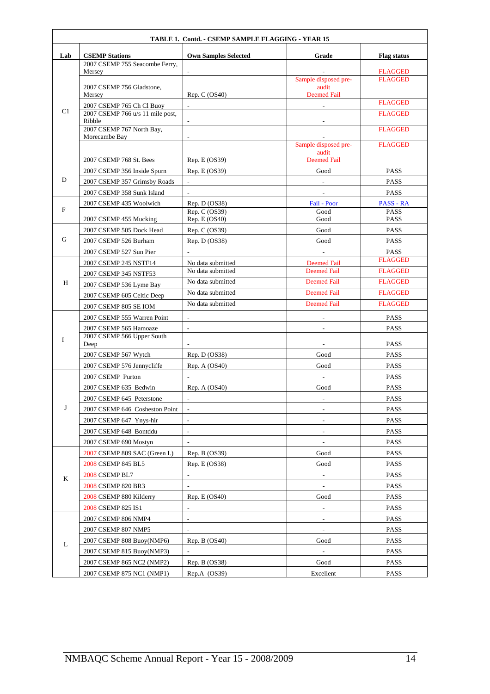| TABLE 1. Contd. - CSEMP SAMPLE FLAGGING - YEAR 15 |                                            |                                |                             |                                  |  |
|---------------------------------------------------|--------------------------------------------|--------------------------------|-----------------------------|----------------------------------|--|
| Lab                                               | <b>CSEMP Stations</b>                      | <b>Own Samples Selected</b>    | Grade                       | <b>Flag status</b>               |  |
|                                                   | 2007 CSEMP 755 Seacombe Ferry,             |                                |                             |                                  |  |
|                                                   | Mersey                                     |                                | Sample disposed pre-        | <b>FLAGGED</b><br><b>FLAGGED</b> |  |
|                                                   | 2007 CSEMP 756 Gladstone,                  |                                | audit                       |                                  |  |
|                                                   | Mersey<br>2007 CSEMP 765 Ch Cl Buoy        | Rep. C (OS40)                  | <b>Deemed Fail</b>          | <b>FLAGGED</b>                   |  |
| C1                                                | 2007 CSEMP 766 u/s 11 mile post,           |                                | $\blacksquare$              | <b>FLAGGED</b>                   |  |
|                                                   | Ribble                                     |                                |                             |                                  |  |
|                                                   | 2007 CSEMP 767 North Bay,<br>Morecambe Bay |                                |                             | <b>FLAGGED</b>                   |  |
|                                                   |                                            |                                | Sample disposed pre-        | <b>FLAGGED</b>                   |  |
|                                                   | 2007 CSEMP 768 St. Bees                    | Rep. E (OS39)                  | audit<br><b>Deemed Fail</b> |                                  |  |
|                                                   | 2007 CSEMP 356 Inside Spurn                | Rep. E (OS39)                  | Good                        | <b>PASS</b>                      |  |
| D                                                 | 2007 CSEMP 357 Grimsby Roads               |                                |                             | PASS                             |  |
|                                                   | 2007 CSEMP 358 Sunk Island                 |                                | $\overline{\phantom{a}}$    | <b>PASS</b>                      |  |
|                                                   | 2007 CSEMP 435 Woolwich                    | Rep. $D (OS38)$                | Fail - Poor                 | PASS - RA                        |  |
| $\mathbf{F}$                                      | 2007 CSEMP 455 Mucking                     | Rep. C (OS39)<br>Rep. E (OS40) | Good<br>Good                | <b>PASS</b><br><b>PASS</b>       |  |
|                                                   | 2007 CSEMP 505 Dock Head                   | Rep. C (OS39)                  | Good                        | <b>PASS</b>                      |  |
| G                                                 | 2007 CSEMP 526 Burham                      | Rep. $D (OS38)$                | Good                        | PASS                             |  |
|                                                   | 2007 CSEMP 527 Sun Pier                    |                                |                             | PASS                             |  |
|                                                   | 2007 CSEMP 245 NSTF14                      | No data submitted              | <b>Deemed Fail</b>          | <b>FLAGGED</b>                   |  |
|                                                   | 2007 CSEMP 345 NSTF53                      | No data submitted              | <b>Deemed Fail</b>          | <b>FLAGGED</b>                   |  |
| H                                                 | 2007 CSEMP 536 Lyme Bay                    | No data submitted              | <b>Deemed Fail</b>          | <b>FLAGGED</b>                   |  |
|                                                   | 2007 CSEMP 605 Celtic Deep                 | No data submitted              | <b>Deemed Fail</b>          | <b>FLAGGED</b>                   |  |
|                                                   | 2007 CSEMP 805 SE IOM                      | No data submitted              | <b>Deemed Fail</b>          | <b>FLAGGED</b>                   |  |
|                                                   | 2007 CSEMP 555 Warren Point                |                                |                             | <b>PASS</b>                      |  |
|                                                   | 2007 CSEMP 565 Hamoaze                     | $\sim$                         |                             | <b>PASS</b>                      |  |
| I                                                 | 2007 CSEMP 566 Upper South<br>Deep         |                                | $\overline{\phantom{a}}$    | <b>PASS</b>                      |  |
|                                                   | 2007 CSEMP 567 Wytch                       | Rep. $D (OS38)$                | Good                        | <b>PASS</b>                      |  |
|                                                   | 2007 CSEMP 576 Jennycliffe                 | Rep. A $(OS40)$                | Good                        | PASS                             |  |
|                                                   | 2007 CSEMP Purton                          |                                |                             | <b>PASS</b>                      |  |
|                                                   | 2007 CSEMP 635 Bedwin                      | Rep. A (OS40)                  | Good                        | <b>PASS</b>                      |  |
|                                                   | 2007 CSEMP 645 Peterstone                  |                                |                             | PASS                             |  |
| J                                                 | 2007 CSEMP 646 Cosheston Point             |                                |                             | <b>PASS</b>                      |  |
|                                                   | 2007 CSEMP 647 Ynys-hir                    | $\sim$                         |                             | PASS                             |  |
|                                                   | 2007 CSEMP 648 Bontddu                     |                                |                             | <b>PASS</b>                      |  |
|                                                   | 2007 CSEMP 690 Mostyn                      | $\overline{\phantom{a}}$       | $\overline{\phantom{a}}$    | <b>PASS</b>                      |  |
|                                                   | 2007 CSEMP 809 SAC (Green I.)              | Rep. B (OS39)                  | Good                        | <b>PASS</b>                      |  |
|                                                   | 2008 CSEMP 845 BL5                         | Rep. E (OS38)                  | Good                        | <b>PASS</b>                      |  |
| K                                                 | 2008 CSEMP BL7                             |                                |                             | <b>PASS</b>                      |  |
|                                                   | 2008 CSEMP 820 BR3                         |                                |                             | <b>PASS</b>                      |  |
|                                                   | 2008 CSEMP 880 Kilderry                    | Rep. E (OS40)                  | Good                        | <b>PASS</b>                      |  |
|                                                   | 2008 CSEMP 825 IS1                         |                                | $\overline{\phantom{a}}$    | <b>PASS</b>                      |  |
|                                                   | 2007 CSEMP 806 NMP4                        |                                | $\overline{\phantom{a}}$    | PASS                             |  |
|                                                   | 2007 CSEMP 807 NMP5                        |                                | $\overline{a}$              | PASS                             |  |
| L                                                 | 2007 CSEMP 808 Buoy(NMP6)                  | Rep. B (OS40)                  | Good                        | <b>PASS</b>                      |  |
|                                                   | 2007 CSEMP 815 Buoy(NMP3)                  | $\sim$                         | $\sim$                      | PASS                             |  |
|                                                   | 2007 CSEMP 865 NC2 (NMP2)                  | Rep. B (OS38)                  | Good                        | <b>PASS</b>                      |  |
|                                                   | 2007 CSEMP 875 NC1 (NMP1)                  | $Rep.A$ $(OS39)$               | Excellent                   | <b>PASS</b>                      |  |